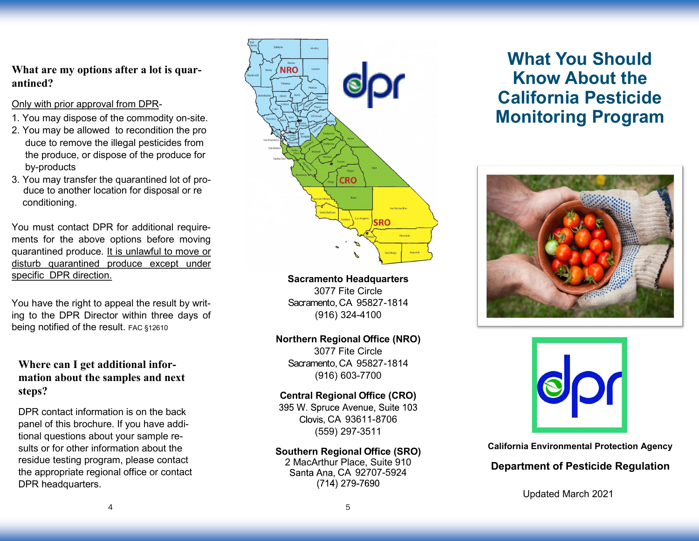## **What are my options after a lot is quarantined?**

#### Only with prior approval from DPR-

- 1. You may dispose of the commodity on-site.
- 2. You may be allowed to recondition the pro duce to remove the illegal pesticides from the produce, or dispose of the produce for by-products
- 3. You may transfer the quarantined lot of produce to another location for disposal or re conditioning.

You must contact DPR for additional requirements for the above options before moving quarantined produce. It is unlawful to move or disturb quarantined produce except under specific DPR direction.

You have the right to appeal the result by writing to the DPR Director within three days of being notified of the result. FAC §12610

## **Where can I get additional information about the samples and next steps?**

DPR contact information is on the back panel of this brochure. If you have additional questions about your sample results or for other information about the residue testing program, please contact the appropriate regional office or contact DPR headquarters.



**Sacramento Headquarters** 3077 Fite Circle Sacramento, CA 95827-1814 (916) 324-4100

#### **Northern Regional Office (NRO)**

3077 Fite Circle Sacramento, CA 95827-1814 (916) 603-7700

#### **Central Regional Office (CRO)**

395 W. Spruce Avenue. Suite 103 Clovis, CA 93611-8706 (559) 297-3511

#### **Southern Regional Office (SRO)**

2 MacArthur Place, Suite 910 Santa Ana, CA 92707-5924 (714) 279-7690

# **What You Should Know About the California Pesticide Monitoring Program**





**California Environmental Protection Agency**

## **Department of Pesticide Regulation**

Updated March 2021